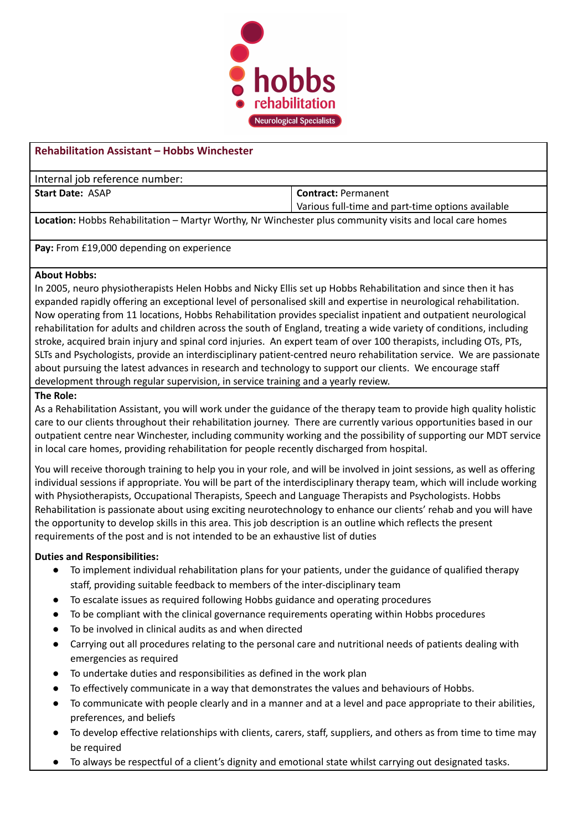

## **Rehabilitation Assistant – Hobbs Winchester**

Internal job reference number:

**Start Date:** ASAP **Contract:** Permanent

Various full-time and part-time options available

**Location:** Hobbs Rehabilitation – Martyr Worthy, Nr Winchester plus community visits and local care homes

**Pay:** From £19,000 depending on experience

### **About Hobbs:**

In 2005, neuro physiotherapists Helen Hobbs and Nicky Ellis set up Hobbs Rehabilitation and since then it has expanded rapidly offering an exceptional level of personalised skill and expertise in neurological rehabilitation. Now operating from 11 locations, Hobbs Rehabilitation provides specialist inpatient and outpatient neurological rehabilitation for adults and children across the south of England, treating a wide variety of conditions, including stroke, acquired brain injury and spinal cord injuries. An expert team of over 100 therapists, including OTs, PTs, SLTs and Psychologists, provide an interdisciplinary patient-centred neuro rehabilitation service. We are passionate about pursuing the latest advances in research and technology to support our clients. We encourage staff development through regular supervision, in service training and a yearly review.

### **The Role:**

As a Rehabilitation Assistant, you will work under the guidance of the therapy team to provide high quality holistic care to our clients throughout their rehabilitation journey. There are currently various opportunities based in our outpatient centre near Winchester, including community working and the possibility of supporting our MDT service in local care homes, providing rehabilitation for people recently discharged from hospital.

You will receive thorough training to help you in your role, and will be involved in joint sessions, as well as offering individual sessions if appropriate. You will be part of the interdisciplinary therapy team, which will include working with Physiotherapists, Occupational Therapists, Speech and Language Therapists and Psychologists. Hobbs Rehabilitation is passionate about using exciting neurotechnology to enhance our clients' rehab and you will have the opportunity to develop skills in this area. This job description is an outline which reflects the present requirements of the post and is not intended to be an exhaustive list of duties

## **Duties and Responsibilities:**

- To implement individual rehabilitation plans for your patients, under the guidance of qualified therapy staff, providing suitable feedback to members of the inter-disciplinary team
- To escalate issues as required following Hobbs guidance and operating procedures
- To be compliant with the clinical governance requirements operating within Hobbs procedures
- To be involved in clinical audits as and when directed
- Carrying out all procedures relating to the personal care and nutritional needs of patients dealing with emergencies as required
- To undertake duties and responsibilities as defined in the work plan
- To effectively communicate in a way that demonstrates the values and behaviours of Hobbs.
- To communicate with people clearly and in a manner and at a level and pace appropriate to their abilities, preferences, and beliefs
- To develop effective relationships with clients, carers, staff, suppliers, and others as from time to time may be required
- To always be respectful of a client's dignity and emotional state whilst carrying out designated tasks.